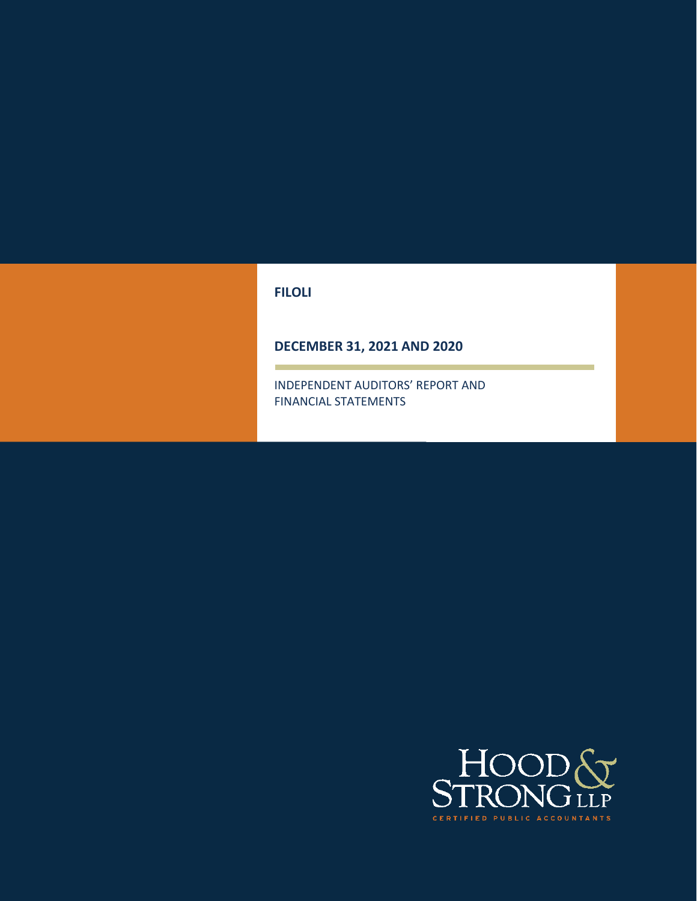## **FILOLI**

# **DECEMBER 31, 2021 AND 2020**

INDEPENDENT AUDITORS' REPORT AND FINANCIAL STATEMENTS

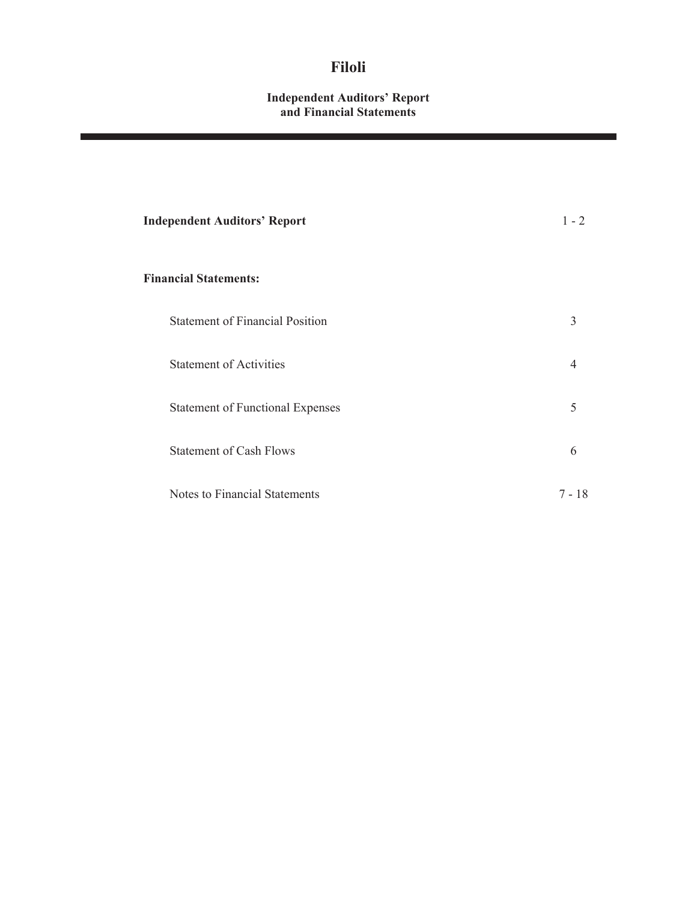#### **Independent Auditors' Report and Financial Statements**

| <b>Independent Auditors' Report</b>     | $1 - 2$        |
|-----------------------------------------|----------------|
| <b>Financial Statements:</b>            |                |
| <b>Statement of Financial Position</b>  | 3              |
| <b>Statement of Activities</b>          | $\overline{4}$ |
| <b>Statement of Functional Expenses</b> | 5              |
| <b>Statement of Cash Flows</b>          | 6              |
| Notes to Financial Statements           | $7 - 18$       |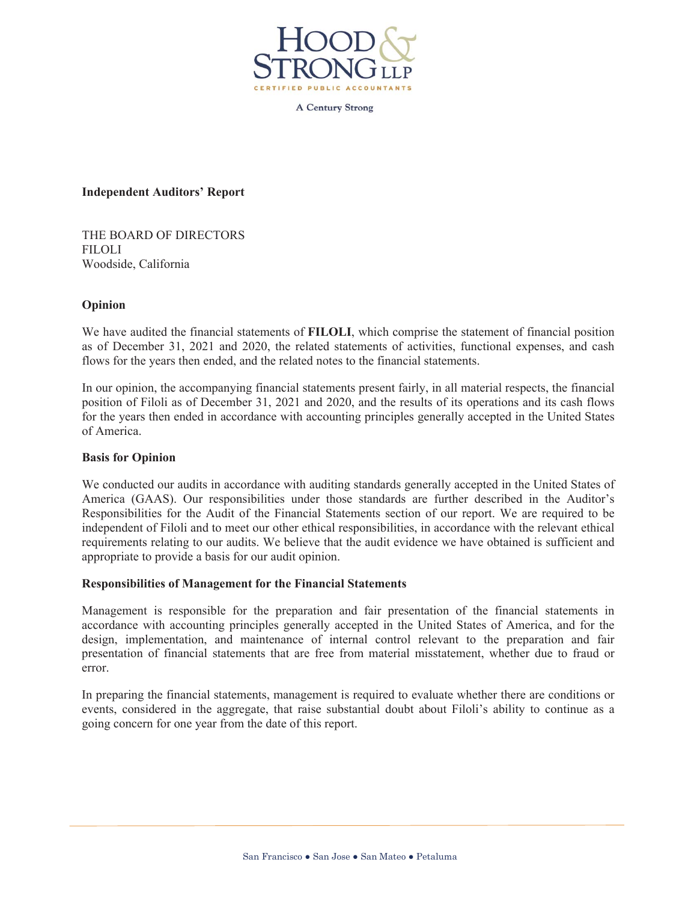

**A Century Strong** 

**Independent Auditors' Report**

THE BOARD OF DIRECTORS FILOLI Woodside, California

#### **Opinion**

We have audited the financial statements of **FILOLI**, which comprise the statement of financial position as of December 31, 2021 and 2020, the related statements of activities, functional expenses, and cash flows for the years then ended, and the related notes to the financial statements.

In our opinion, the accompanying financial statements present fairly, in all material respects, the financial position of Filoli as of December 31, 2021 and 2020, and the results of its operations and its cash flows for the years then ended in accordance with accounting principles generally accepted in the United States of America.

#### **Basis for Opinion**

We conducted our audits in accordance with auditing standards generally accepted in the United States of America (GAAS). Our responsibilities under those standards are further described in the Auditor's Responsibilities for the Audit of the Financial Statements section of our report. We are required to be independent of Filoli and to meet our other ethical responsibilities, in accordance with the relevant ethical requirements relating to our audits. We believe that the audit evidence we have obtained is sufficient and appropriate to provide a basis for our audit opinion.

#### **Responsibilities of Management for the Financial Statements**

Management is responsible for the preparation and fair presentation of the financial statements in accordance with accounting principles generally accepted in the United States of America, and for the design, implementation, and maintenance of internal control relevant to the preparation and fair presentation of financial statements that are free from material misstatement, whether due to fraud or error.

In preparing the financial statements, management is required to evaluate whether there are conditions or events, considered in the aggregate, that raise substantial doubt about Filoli's ability to continue as a going concern for one year from the date of this report.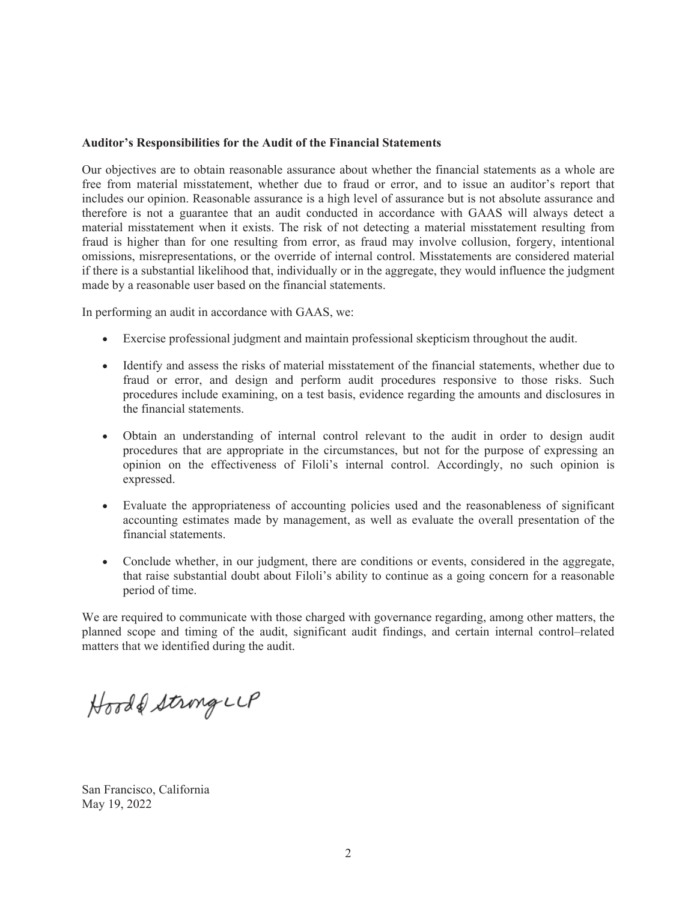#### **Auditor's Responsibilities for the Audit of the Financial Statements**

Our objectives are to obtain reasonable assurance about whether the financial statements as a whole are free from material misstatement, whether due to fraud or error, and to issue an auditor's report that includes our opinion. Reasonable assurance is a high level of assurance but is not absolute assurance and therefore is not a guarantee that an audit conducted in accordance with GAAS will always detect a material misstatement when it exists. The risk of not detecting a material misstatement resulting from fraud is higher than for one resulting from error, as fraud may involve collusion, forgery, intentional omissions, misrepresentations, or the override of internal control. Misstatements are considered material if there is a substantial likelihood that, individually or in the aggregate, they would influence the judgment made by a reasonable user based on the financial statements.

In performing an audit in accordance with GAAS, we:

- Exercise professional judgment and maintain professional skepticism throughout the audit.
- Identify and assess the risks of material misstatement of the financial statements, whether due to fraud or error, and design and perform audit procedures responsive to those risks. Such procedures include examining, on a test basis, evidence regarding the amounts and disclosures in the financial statements.
- x Obtain an understanding of internal control relevant to the audit in order to design audit procedures that are appropriate in the circumstances, but not for the purpose of expressing an opinion on the effectiveness of Filoli's internal control. Accordingly, no such opinion is expressed.
- Evaluate the appropriateness of accounting policies used and the reasonableness of significant accounting estimates made by management, as well as evaluate the overall presentation of the financial statements.
- Conclude whether, in our judgment, there are conditions or events, considered in the aggregate, that raise substantial doubt about Filoli's ability to continue as a going concern for a reasonable period of time.

We are required to communicate with those charged with governance regarding, among other matters, the planned scope and timing of the audit, significant audit findings, and certain internal control–related matters that we identified during the audit.

Hood & String LLP

San Francisco, California May 19, 2022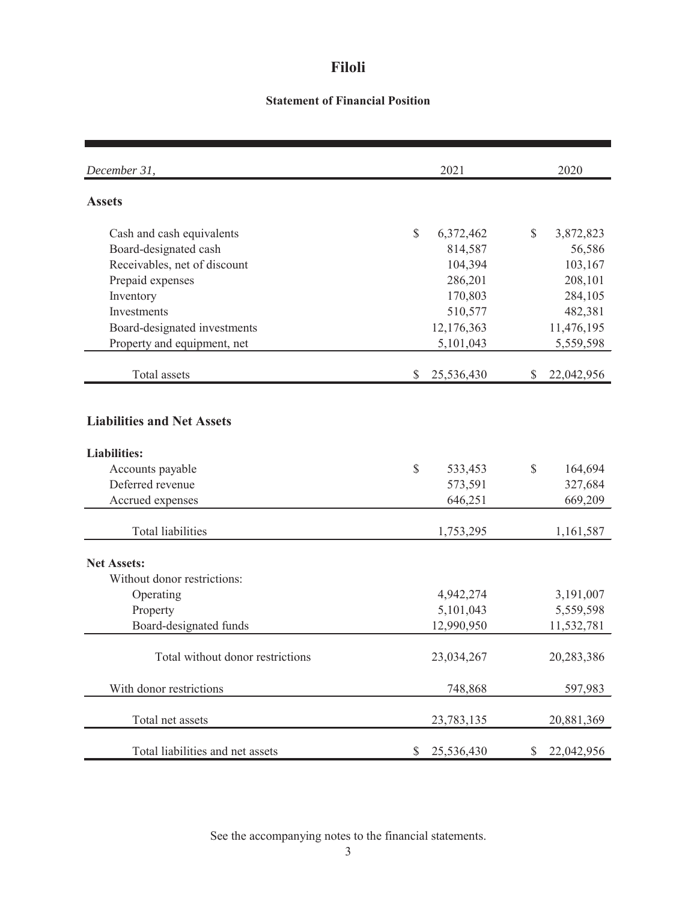# **Statement of Financial Position**

| December 31,                      | 2021         |            |    | 2020       |
|-----------------------------------|--------------|------------|----|------------|
| <b>Assets</b>                     |              |            |    |            |
| Cash and cash equivalents         | $\mathbb{S}$ | 6,372,462  | \$ | 3,872,823  |
| Board-designated cash             |              | 814,587    |    | 56,586     |
| Receivables, net of discount      |              | 104,394    |    | 103,167    |
| Prepaid expenses                  |              | 286,201    |    | 208,101    |
| Inventory                         |              | 170,803    |    | 284,105    |
| Investments                       |              | 510,577    |    | 482,381    |
| Board-designated investments      |              | 12,176,363 |    | 11,476,195 |
| Property and equipment, net       |              | 5,101,043  |    | 5,559,598  |
| Total assets                      | \$           | 25,536,430 | S  | 22,042,956 |
| <b>Liabilities and Net Assets</b> |              |            |    |            |
| <b>Liabilities:</b>               |              |            |    |            |
| Accounts payable                  | \$           | 533,453    | \$ | 164,694    |
| Deferred revenue                  |              | 573,591    |    | 327,684    |
| Accrued expenses                  |              | 646,251    |    | 669,209    |
| <b>Total liabilities</b>          |              | 1,753,295  |    | 1,161,587  |
| <b>Net Assets:</b>                |              |            |    |            |
| Without donor restrictions:       |              |            |    |            |
| Operating                         |              | 4,942,274  |    | 3,191,007  |
| Property                          |              | 5,101,043  |    | 5,559,598  |
| Board-designated funds            |              | 12,990,950 |    | 11,532,781 |
| Total without donor restrictions  |              | 23,034,267 |    | 20,283,386 |
| With donor restrictions           |              | 748,868    |    | 597,983    |
| Total net assets                  |              | 23,783,135 |    | 20,881,369 |
| Total liabilities and net assets  | \$           | 25,536,430 | \$ | 22,042,956 |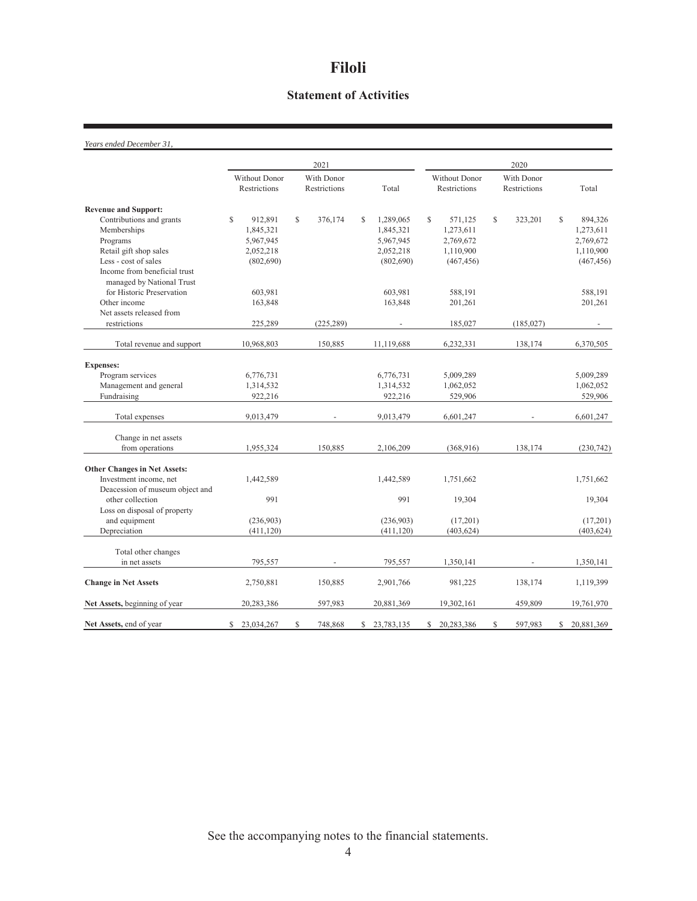# **Statement of Activities**

*Years ended December 31,*

|                                     |                               |                            | 2021       |       |            | 2020                                 |            |                            |            |    |            |
|-------------------------------------|-------------------------------|----------------------------|------------|-------|------------|--------------------------------------|------------|----------------------------|------------|----|------------|
|                                     | Without Donor<br>Restrictions | With Donor<br>Restrictions |            | Total |            | <b>Without Donor</b><br>Restrictions |            | With Donor<br>Restrictions |            |    | Total      |
| <b>Revenue and Support:</b>         |                               |                            |            |       |            |                                      |            |                            |            |    |            |
| Contributions and grants            | S<br>912,891                  | \$                         | 376,174    | \$    | 1,289,065  | \$                                   | 571,125    | \$                         | 323,201    | S  | 894,326    |
| Memberships                         | 1,845,321                     |                            |            |       | 1,845,321  |                                      | 1,273,611  |                            |            |    | 1,273,611  |
| Programs                            | 5,967,945                     |                            |            |       | 5,967,945  |                                      | 2,769,672  |                            |            |    | 2,769,672  |
| Retail gift shop sales              | 2,052,218                     |                            |            |       | 2,052,218  |                                      | 1,110,900  |                            |            |    | 1,110,900  |
| Less - cost of sales                | (802, 690)                    |                            |            |       | (802, 690) |                                      | (467, 456) |                            |            |    | (467, 456) |
| Income from beneficial trust        |                               |                            |            |       |            |                                      |            |                            |            |    |            |
| managed by National Trust           |                               |                            |            |       |            |                                      |            |                            |            |    |            |
| for Historic Preservation           | 603,981                       |                            |            |       | 603,981    |                                      | 588,191    |                            |            |    | 588,191    |
| Other income                        | 163,848                       |                            |            |       | 163,848    |                                      | 201,261    |                            |            |    | 201,261    |
| Net assets released from            |                               |                            |            |       |            |                                      |            |                            |            |    |            |
| restrictions                        | 225,289                       |                            | (225, 289) |       |            |                                      | 185,027    |                            | (185, 027) |    |            |
| Total revenue and support           | 10,968,803                    |                            | 150,885    |       | 11,119,688 |                                      | 6,232,331  |                            | 138,174    |    | 6,370,505  |
| <b>Expenses:</b>                    |                               |                            |            |       |            |                                      |            |                            |            |    |            |
| Program services                    | 6,776,731                     |                            |            |       | 6,776,731  |                                      | 5,009,289  |                            |            |    | 5,009,289  |
| Management and general              | 1,314,532                     |                            |            |       | 1,314,532  |                                      | 1,062,052  |                            |            |    | 1,062,052  |
| Fundraising                         | 922,216                       |                            |            |       | 922,216    |                                      | 529,906    |                            |            |    | 529,906    |
| Total expenses                      | 9,013,479                     |                            |            |       | 9,013,479  |                                      | 6,601,247  |                            |            |    | 6,601,247  |
| Change in net assets                |                               |                            |            |       |            |                                      |            |                            |            |    |            |
| from operations                     | 1,955,324                     |                            | 150,885    |       | 2,106,209  |                                      | (368, 916) |                            | 138,174    |    | (230,742)  |
| <b>Other Changes in Net Assets:</b> |                               |                            |            |       |            |                                      |            |                            |            |    |            |
| Investment income, net              | 1,442,589                     |                            |            |       | 1,442,589  |                                      | 1,751,662  |                            |            |    | 1,751,662  |
| Deacession of museum object and     |                               |                            |            |       |            |                                      |            |                            |            |    |            |
| other collection                    | 991                           |                            |            |       | 991        |                                      | 19,304     |                            |            |    | 19,304     |
| Loss on disposal of property        |                               |                            |            |       |            |                                      |            |                            |            |    |            |
| and equipment                       | (236,903)                     |                            |            |       | (236,903)  |                                      | (17,201)   |                            |            |    | (17,201)   |
| Depreciation                        | (411, 120)                    |                            |            |       | (411, 120) |                                      | (403, 624) |                            |            |    | (403, 624) |
|                                     |                               |                            |            |       |            |                                      |            |                            |            |    |            |
| Total other changes                 |                               |                            |            |       |            |                                      |            |                            |            |    |            |
| in net assets                       | 795,557                       |                            |            |       | 795,557    |                                      | 1,350,141  |                            |            |    | 1,350,141  |
| <b>Change in Net Assets</b>         | 2,750,881                     |                            | 150,885    |       | 2,901,766  |                                      | 981,225    |                            | 138,174    |    | 1,119,399  |
| Net Assets, beginning of year       | 20,283,386                    |                            | 597,983    |       | 20,881,369 |                                      | 19,302,161 |                            | 459,809    |    | 19,761,970 |
| Net Assets, end of year             | \$23,034,267                  | \$                         | 748,868    | \$    | 23,783,135 | \$                                   | 20,283,386 | \$                         | 597,983    | \$ | 20,881,369 |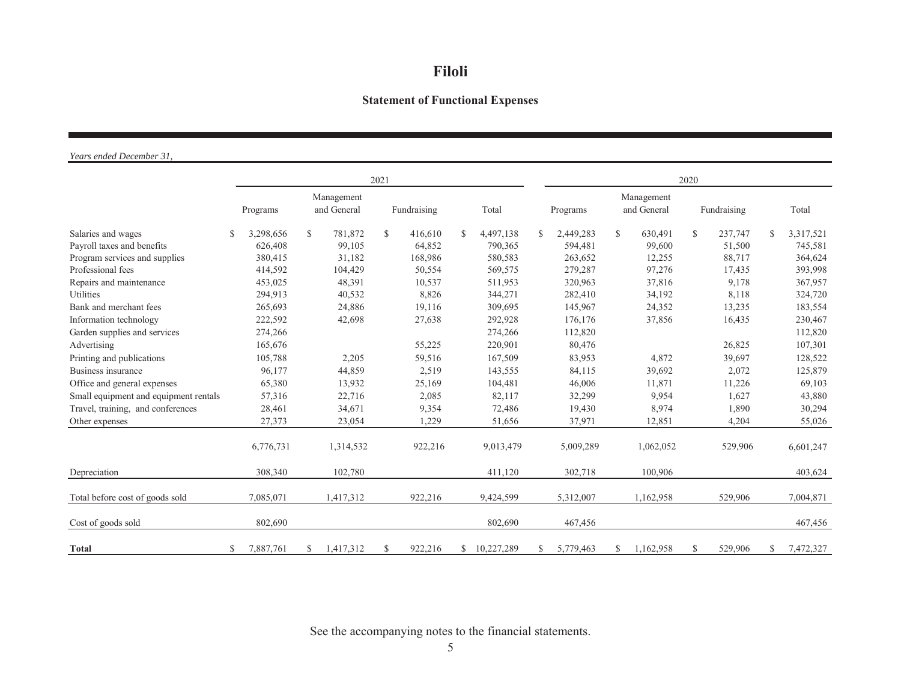# **Statement of Functional Expenses**

*Years ended December 31,*

|                                       |   |           |             |                           | 2021        |         |               |            | 2020          |                                       |              |           |             |         |               |           |
|---------------------------------------|---|-----------|-------------|---------------------------|-------------|---------|---------------|------------|---------------|---------------------------------------|--------------|-----------|-------------|---------|---------------|-----------|
|                                       |   | Programs  |             | Management<br>and General | Fundraising |         |               | Total      |               | Management<br>and General<br>Programs |              |           | Fundraising |         | Total         |           |
| Salaries and wages                    |   | 3,298,656 | $\mathbf S$ | 781,872                   | \$.         | 416,610 | $\mathcal{S}$ | 4,497,138  | <sup>\$</sup> | 2,449,283                             | $\mathbb{S}$ | 630,491   | \$          | 237,747 | $\mathcal{S}$ | 3,317,521 |
| Payroll taxes and benefits            |   | 626,408   |             | 99,105                    |             | 64,852  |               | 790,365    |               | 594,481                               |              | 99,600    |             | 51,500  |               | 745,581   |
| Program services and supplies         |   | 380,415   |             | 31,182                    |             | 168,986 |               | 580,583    |               | 263,652                               |              | 12,255    |             | 88,717  |               | 364,624   |
| Professional fees                     |   | 414,592   |             | 104,429                   |             | 50,554  |               | 569,575    |               | 279,287                               |              | 97,276    |             | 17,435  |               | 393,998   |
| Repairs and maintenance               |   | 453,025   |             | 48,391                    |             | 10,537  |               | 511,953    |               | 320,963                               |              | 37,816    |             | 9,178   |               | 367,957   |
| Utilities                             |   | 294,913   |             | 40,532                    |             | 8,826   |               | 344,271    |               | 282,410                               |              | 34,192    |             | 8,118   |               | 324,720   |
| Bank and merchant fees                |   | 265,693   |             | 24,886                    |             | 19,116  |               | 309,695    |               | 145,967                               |              | 24,352    |             | 13,235  |               | 183,554   |
| Information technology                |   | 222,592   |             | 42,698                    |             | 27,638  |               | 292,928    |               | 176,176                               |              | 37,856    |             | 16,435  |               | 230,467   |
| Garden supplies and services          |   | 274,266   |             |                           |             |         |               | 274,266    |               | 112,820                               |              |           |             |         |               | 112,820   |
| Advertising                           |   | 165,676   |             |                           |             | 55,225  |               | 220,901    |               | 80,476                                |              |           |             | 26,825  |               | 107,301   |
| Printing and publications             |   | 105,788   |             | 2,205                     |             | 59,516  |               | 167,509    |               | 83,953                                |              | 4,872     |             | 39,697  |               | 128,522   |
| Business insurance                    |   | 96,177    |             | 44,859                    |             | 2,519   |               | 143,555    |               | 84,115                                |              | 39,692    |             | 2,072   |               | 125,879   |
| Office and general expenses           |   | 65,380    |             | 13,932                    |             | 25,169  |               | 104,481    |               | 46,006                                |              | 11,871    |             | 11,226  |               | 69,103    |
| Small equipment and equipment rentals |   | 57,316    |             | 22,716                    |             | 2,085   |               | 82,117     |               | 32,299                                |              | 9.954     |             | 1,627   |               | 43,880    |
| Travel, training, and conferences     |   | 28,461    |             | 34,671                    |             | 9,354   |               | 72,486     |               | 19,430                                |              | 8,974     |             | 1,890   |               | 30,294    |
| Other expenses                        |   | 27,373    |             | 23,054                    |             | 1,229   |               | 51,656     |               | 37,971                                |              | 12,851    |             | 4,204   |               | 55,026    |
|                                       |   | 6,776,731 |             | 1,314,532                 |             | 922,216 |               | 9,013,479  |               | 5,009,289                             |              | 1,062,052 |             | 529,906 |               | 6,601,247 |
| Depreciation                          |   | 308,340   |             | 102,780                   |             |         |               | 411,120    |               | 302,718                               |              | 100,906   |             |         |               | 403,624   |
| Total before cost of goods sold       |   | 7,085,071 |             | 1,417,312                 |             | 922,216 |               | 9,424,599  |               | 5,312,007                             |              | 1,162,958 |             | 529,906 |               | 7.004.871 |
| Cost of goods sold                    |   | 802,690   |             |                           |             |         |               | 802,690    |               | 467,456                               |              |           |             |         |               | 467,456   |
| <b>Total</b>                          | S | 7,887,761 | S           | 1,417,312                 | \$          | 922,216 | S.            | 10,227,289 | S.            | 5,779,463                             | S            | 1,162,958 | S           | 529,906 | \$            | 7,472,327 |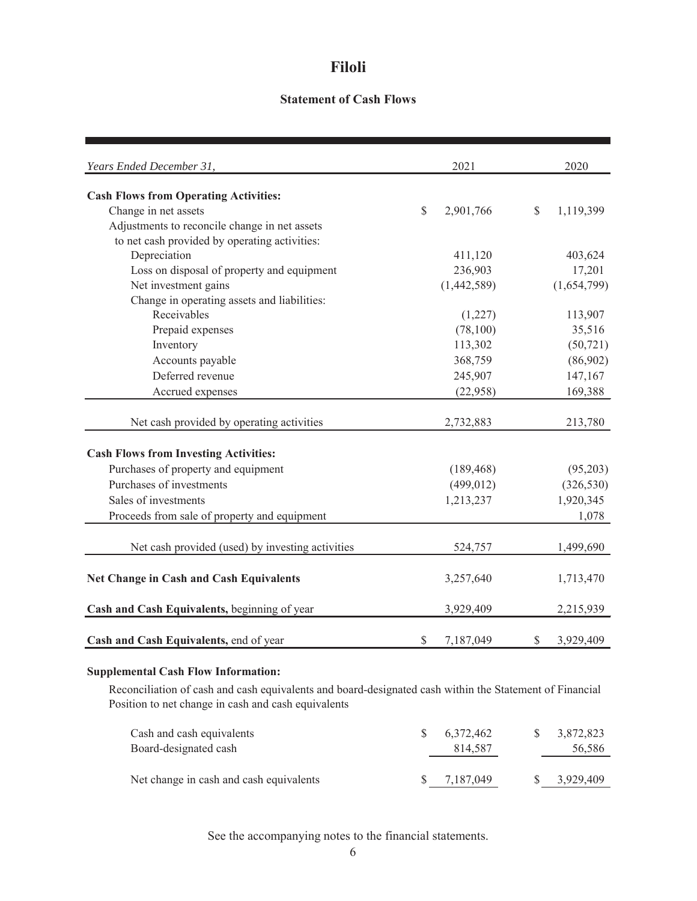### **Statement of Cash Flows**

| Years Ended December 31,                         |              | 2021        |              | 2020        |
|--------------------------------------------------|--------------|-------------|--------------|-------------|
| <b>Cash Flows from Operating Activities:</b>     |              |             |              |             |
| Change in net assets                             | $\mathbb{S}$ | 2,901,766   | $\mathbb{S}$ | 1,119,399   |
| Adjustments to reconcile change in net assets    |              |             |              |             |
| to net cash provided by operating activities:    |              |             |              |             |
| Depreciation                                     |              | 411,120     |              | 403,624     |
| Loss on disposal of property and equipment       |              | 236,903     |              | 17,201      |
| Net investment gains                             |              | (1,442,589) |              | (1,654,799) |
| Change in operating assets and liabilities:      |              |             |              |             |
| Receivables                                      |              | (1,227)     |              | 113,907     |
| Prepaid expenses                                 |              | (78,100)    |              | 35,516      |
| Inventory                                        |              | 113,302     |              | (50, 721)   |
| Accounts payable                                 |              | 368,759     |              | (86,902)    |
| Deferred revenue                                 |              | 245,907     |              | 147,167     |
| Accrued expenses                                 |              | (22,958)    |              | 169,388     |
| Net cash provided by operating activities        |              | 2,732,883   |              | 213,780     |
|                                                  |              |             |              |             |
| <b>Cash Flows from Investing Activities:</b>     |              |             |              |             |
| Purchases of property and equipment              |              | (189, 468)  |              | (95,203)    |
| Purchases of investments                         |              | (499, 012)  |              | (326, 530)  |
| Sales of investments                             |              | 1,213,237   |              | 1,920,345   |
| Proceeds from sale of property and equipment     |              |             |              | 1,078       |
|                                                  |              |             |              |             |
| Net cash provided (used) by investing activities |              | 524,757     |              | 1,499,690   |
| <b>Net Change in Cash and Cash Equivalents</b>   |              | 3,257,640   |              | 1,713,470   |
| Cash and Cash Equivalents, beginning of year     |              | 3,929,409   |              | 2,215,939   |
| Cash and Cash Equivalents, end of year           | \$           | 7,187,049   | $\mathbb{S}$ | 3,929,409   |

## **Supplemental Cash Flow Information:**

Reconciliation of cash and cash equivalents and board-designated cash within the Statement of Financial Position to net change in cash and cash equivalents

| Cash and cash equivalents<br>Board-designated cash | 6.372.462<br>814.587 | 3,872,823<br>56,586 |
|----------------------------------------------------|----------------------|---------------------|
| Net change in cash and cash equivalents            | 7,187,049            | 3,929,409           |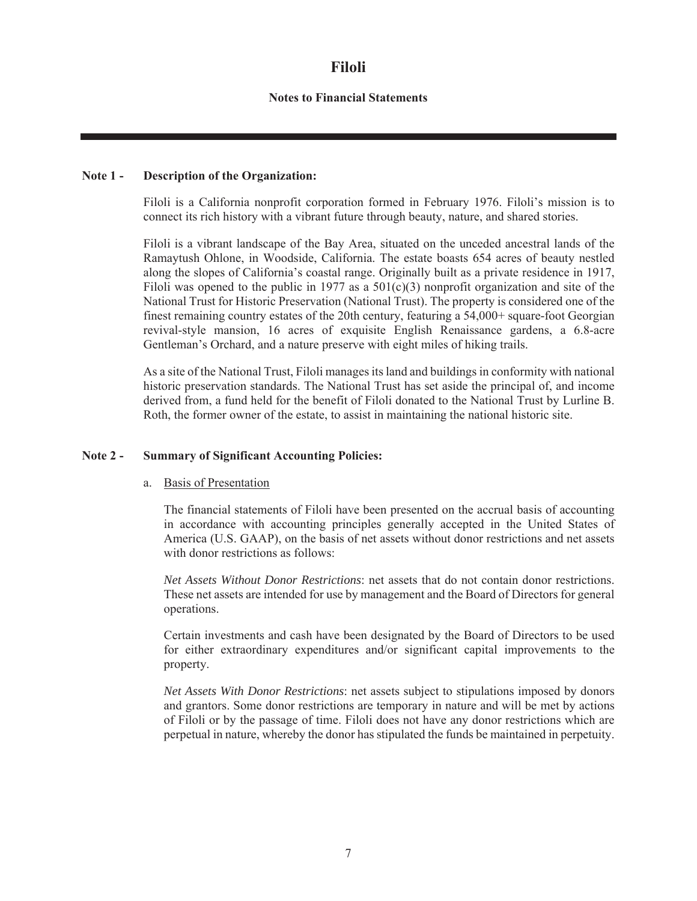### **Notes to Financial Statements**

#### **Note 1 - Description of the Organization:**

Filoli is a California nonprofit corporation formed in February 1976. Filoli's mission is to connect its rich history with a vibrant future through beauty, nature, and shared stories.

Filoli is a vibrant landscape of the Bay Area, situated on the unceded ancestral lands of the Ramaytush Ohlone, in Woodside, California. The estate boasts 654 acres of beauty nestled along the slopes of California's coastal range. Originally built as a private residence in 1917, Filoli was opened to the public in 1977 as a  $501(c)(3)$  nonprofit organization and site of the National Trust for Historic Preservation (National Trust). The property is considered one of the finest remaining country estates of the 20th century, featuring a 54,000+ square-foot Georgian revival-style mansion, 16 acres of exquisite English Renaissance gardens, a 6.8-acre Gentleman's Orchard, and a nature preserve with eight miles of hiking trails.

As a site of the National Trust, Filoli manages its land and buildings in conformity with national historic preservation standards. The National Trust has set aside the principal of, and income derived from, a fund held for the benefit of Filoli donated to the National Trust by Lurline B. Roth, the former owner of the estate, to assist in maintaining the national historic site.

#### **Note 2 - Summary of Significant Accounting Policies:**

#### a. Basis of Presentation

The financial statements of Filoli have been presented on the accrual basis of accounting in accordance with accounting principles generally accepted in the United States of America (U.S. GAAP), on the basis of net assets without donor restrictions and net assets with donor restrictions as follows:

*Net Assets Without Donor Restrictions*: net assets that do not contain donor restrictions. These net assets are intended for use by management and the Board of Directors for general operations.

Certain investments and cash have been designated by the Board of Directors to be used for either extraordinary expenditures and/or significant capital improvements to the property.

*Net Assets With Donor Restrictions*: net assets subject to stipulations imposed by donors and grantors. Some donor restrictions are temporary in nature and will be met by actions of Filoli or by the passage of time. Filoli does not have any donor restrictions which are perpetual in nature, whereby the donor has stipulated the funds be maintained in perpetuity.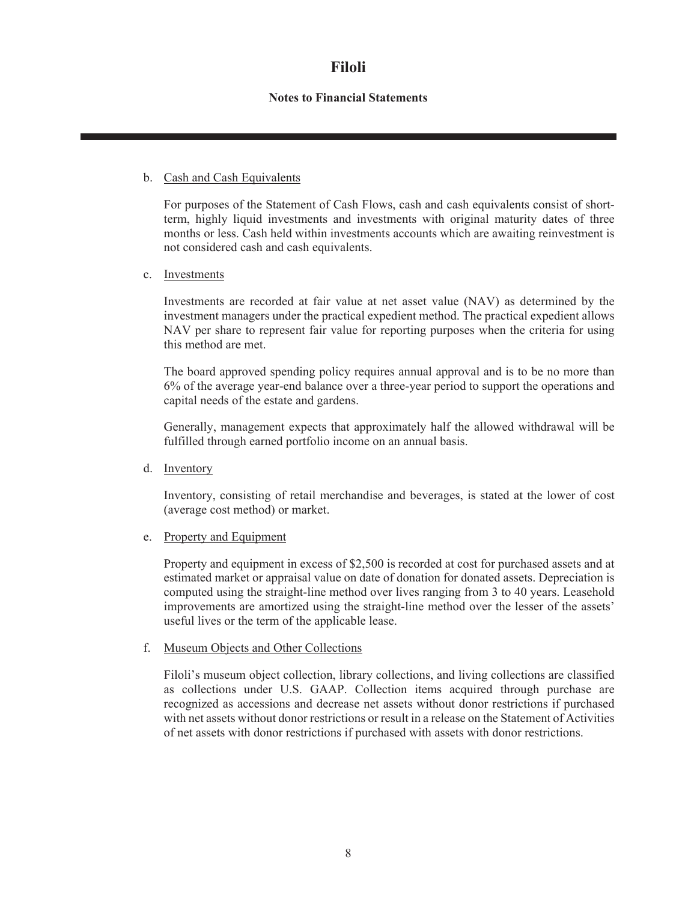### **Notes to Financial Statements**

#### b. Cash and Cash Equivalents

For purposes of the Statement of Cash Flows, cash and cash equivalents consist of shortterm, highly liquid investments and investments with original maturity dates of three months or less. Cash held within investments accounts which are awaiting reinvestment is not considered cash and cash equivalents.

#### c. Investments

Investments are recorded at fair value at net asset value (NAV) as determined by the investment managers under the practical expedient method. The practical expedient allows NAV per share to represent fair value for reporting purposes when the criteria for using this method are met.

The board approved spending policy requires annual approval and is to be no more than 6% of the average year-end balance over a three-year period to support the operations and capital needs of the estate and gardens.

Generally, management expects that approximately half the allowed withdrawal will be fulfilled through earned portfolio income on an annual basis.

d. Inventory

Inventory, consisting of retail merchandise and beverages, is stated at the lower of cost (average cost method) or market.

#### e. Property and Equipment

Property and equipment in excess of \$2,500 is recorded at cost for purchased assets and at estimated market or appraisal value on date of donation for donated assets. Depreciation is computed using the straight-line method over lives ranging from 3 to 40 years. Leasehold improvements are amortized using the straight-line method over the lesser of the assets' useful lives or the term of the applicable lease.

#### f. Museum Objects and Other Collections

Filoli's museum object collection, library collections, and living collections are classified as collections under U.S. GAAP. Collection items acquired through purchase are recognized as accessions and decrease net assets without donor restrictions if purchased with net assets without donor restrictions or result in a release on the Statement of Activities of net assets with donor restrictions if purchased with assets with donor restrictions.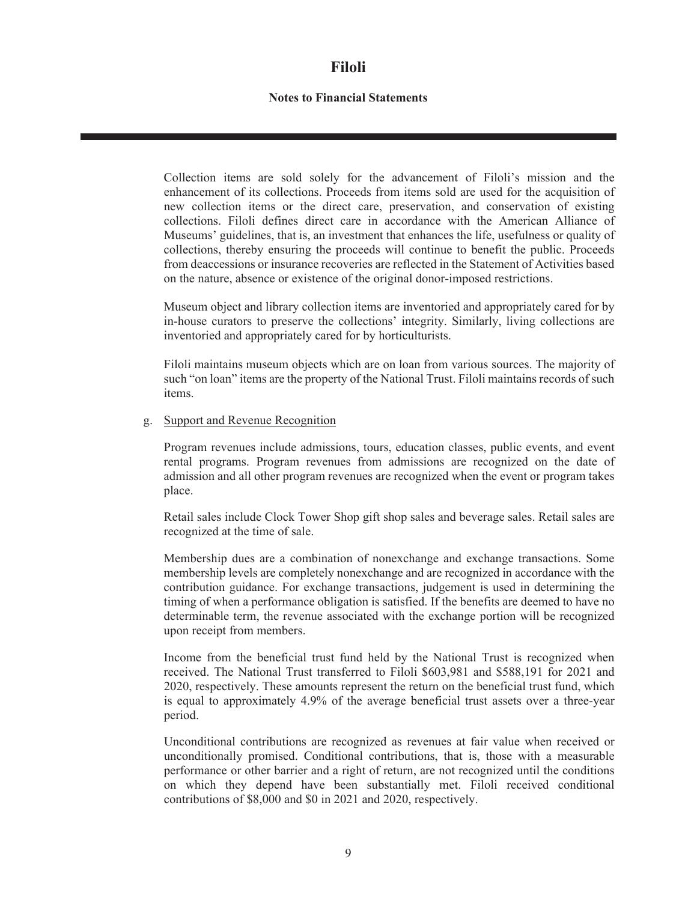### **Notes to Financial Statements**

Collection items are sold solely for the advancement of Filoli's mission and the enhancement of its collections. Proceeds from items sold are used for the acquisition of new collection items or the direct care, preservation, and conservation of existing collections. Filoli defines direct care in accordance with the American Alliance of Museums' guidelines, that is, an investment that enhances the life, usefulness or quality of collections, thereby ensuring the proceeds will continue to benefit the public. Proceeds from deaccessions or insurance recoveries are reflected in the Statement of Activities based on the nature, absence or existence of the original donor-imposed restrictions.

Museum object and library collection items are inventoried and appropriately cared for by in-house curators to preserve the collections' integrity. Similarly, living collections are inventoried and appropriately cared for by horticulturists.

Filoli maintains museum objects which are on loan from various sources. The majority of such "on loan" items are the property of the National Trust. Filoli maintains records of such items.

#### g. Support and Revenue Recognition

Program revenues include admissions, tours, education classes, public events, and event rental programs. Program revenues from admissions are recognized on the date of admission and all other program revenues are recognized when the event or program takes place.

Retail sales include Clock Tower Shop gift shop sales and beverage sales. Retail sales are recognized at the time of sale.

Membership dues are a combination of nonexchange and exchange transactions. Some membership levels are completely nonexchange and are recognized in accordance with the contribution guidance. For exchange transactions, judgement is used in determining the timing of when a performance obligation is satisfied. If the benefits are deemed to have no determinable term, the revenue associated with the exchange portion will be recognized upon receipt from members.

Income from the beneficial trust fund held by the National Trust is recognized when received. The National Trust transferred to Filoli \$603,981 and \$588,191 for 2021 and 2020, respectively. These amounts represent the return on the beneficial trust fund, which is equal to approximately 4.9% of the average beneficial trust assets over a three-year period.

Unconditional contributions are recognized as revenues at fair value when received or unconditionally promised. Conditional contributions, that is, those with a measurable performance or other barrier and a right of return, are not recognized until the conditions on which they depend have been substantially met. Filoli received conditional contributions of \$8,000 and \$0 in 2021 and 2020, respectively.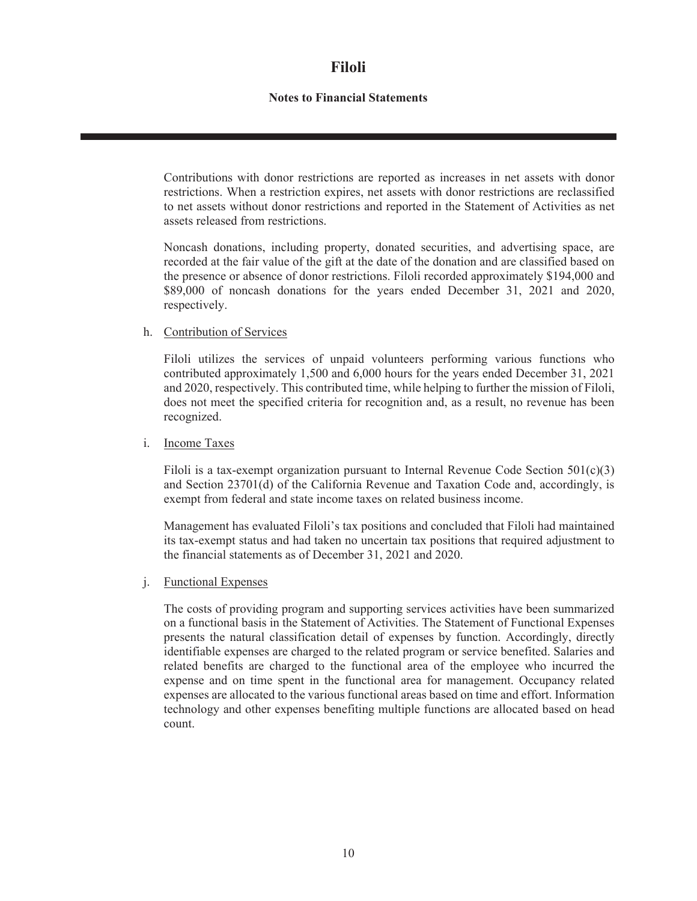### **Notes to Financial Statements**

Contributions with donor restrictions are reported as increases in net assets with donor restrictions. When a restriction expires, net assets with donor restrictions are reclassified to net assets without donor restrictions and reported in the Statement of Activities as net assets released from restrictions.

Noncash donations, including property, donated securities, and advertising space, are recorded at the fair value of the gift at the date of the donation and are classified based on the presence or absence of donor restrictions. Filoli recorded approximately \$194,000 and \$89,000 of noncash donations for the years ended December 31, 2021 and 2020, respectively.

#### h. Contribution of Services

Filoli utilizes the services of unpaid volunteers performing various functions who contributed approximately 1,500 and 6,000 hours for the years ended December 31, 2021 and 2020, respectively. This contributed time, while helping to further the mission of Filoli, does not meet the specified criteria for recognition and, as a result, no revenue has been recognized.

#### i. Income Taxes

Filoli is a tax-exempt organization pursuant to Internal Revenue Code Section  $501(c)(3)$ and Section 23701(d) of the California Revenue and Taxation Code and, accordingly, is exempt from federal and state income taxes on related business income.

Management has evaluated Filoli's tax positions and concluded that Filoli had maintained its tax-exempt status and had taken no uncertain tax positions that required adjustment to the financial statements as of December 31, 2021 and 2020.

#### j. Functional Expenses

The costs of providing program and supporting services activities have been summarized on a functional basis in the Statement of Activities. The Statement of Functional Expenses presents the natural classification detail of expenses by function. Accordingly, directly identifiable expenses are charged to the related program or service benefited. Salaries and related benefits are charged to the functional area of the employee who incurred the expense and on time spent in the functional area for management. Occupancy related expenses are allocated to the various functional areas based on time and effort. Information technology and other expenses benefiting multiple functions are allocated based on head count.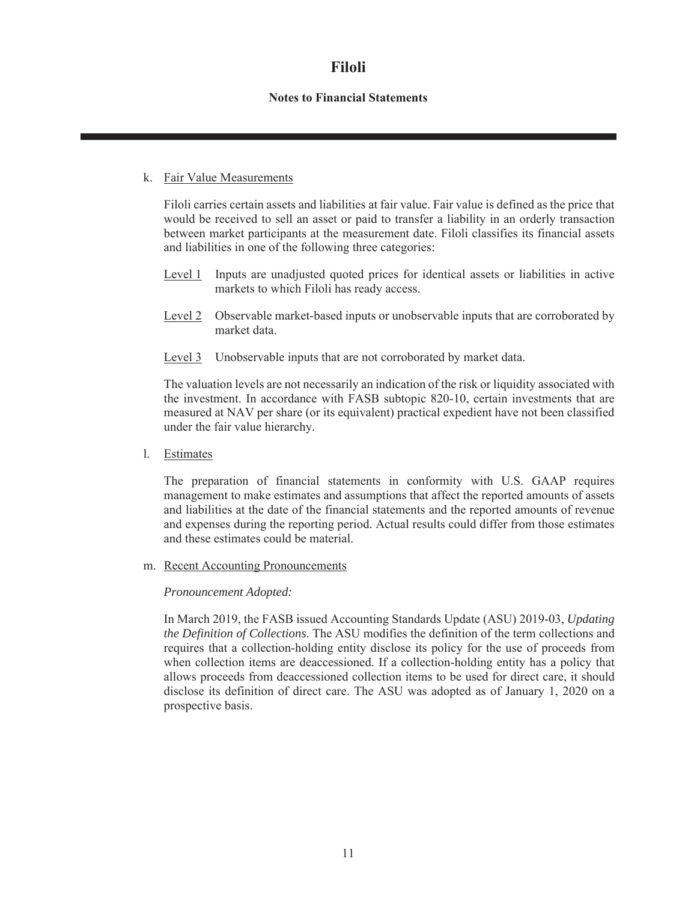### **Notes to Financial Statements**

#### k. Fair Value Measurements

Filoli carries certain assets and liabilities at fair value. Fair value is defined as the price that would be received to sell an asset or paid to transfer a liability in an orderly transaction between market participants at the measurement date. Filoli classifies its financial assets and liabilities in one of the following three categories:

- Level 1 Inputs are unadjusted quoted prices for identical assets or liabilities in active markets to which Filoli has ready access.
- Level 2 Observable market-based inputs or unobservable inputs that are corroborated by market data.
- Level 3 Unobservable inputs that are not corroborated by market data.

The valuation levels are not necessarily an indication of the risk or liquidity associated with the investment. In accordance with FASB subtopic 820-10, certain investments that are measured at NAV per share (or its equivalent) practical expedient have not been classified under the fair value hierarchy.

l. Estimates

The preparation of financial statements in conformity with U.S. GAAP requires management to make estimates and assumptions that affect the reported amounts of assets and liabilities at the date of the financial statements and the reported amounts of revenue and expenses during the reporting period. Actual results could differ from those estimates and these estimates could be material.

m. Recent Accounting Pronouncements

#### *Pronouncement Adopted:*

In March 2019, the FASB issued Accounting Standards Update (ASU) 2019-03, *Updating the Definition of Collections*. The ASU modifies the definition of the term collections and requires that a collection-holding entity disclose its policy for the use of proceeds from when collection items are deaccessioned. If a collection-holding entity has a policy that allows proceeds from deaccessioned collection items to be used for direct care, it should disclose its definition of direct care. The ASU was adopted as of January 1, 2020 on a prospective basis.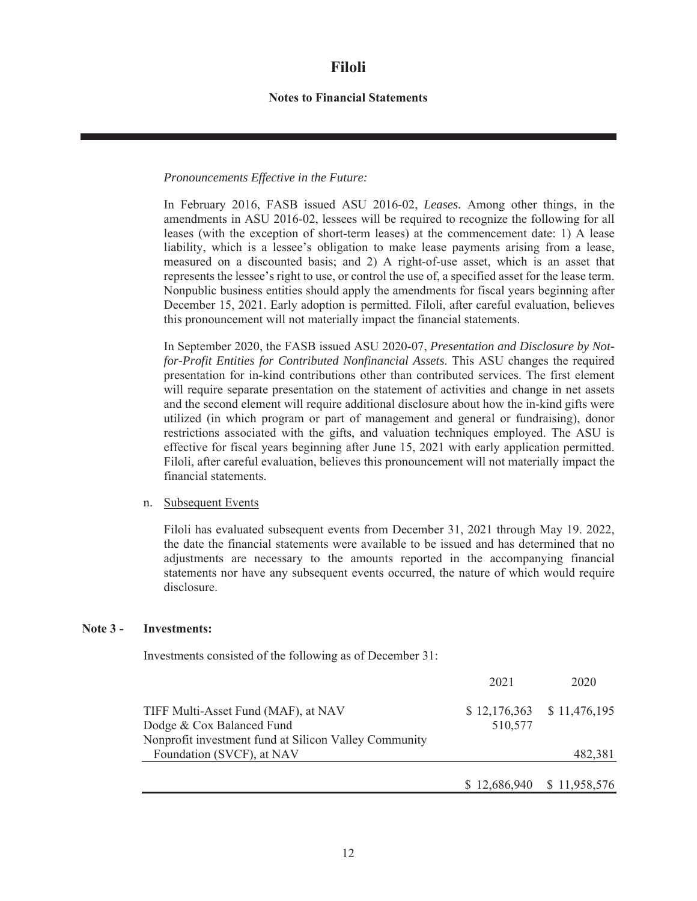#### **Notes to Financial Statements**

#### *Pronouncements Effective in the Future:*

In February 2016, FASB issued ASU 2016-02, *Leases*. Among other things, in the amendments in ASU 2016-02, lessees will be required to recognize the following for all leases (with the exception of short-term leases) at the commencement date: 1) A lease liability, which is a lessee's obligation to make lease payments arising from a lease, measured on a discounted basis; and 2) A right-of-use asset, which is an asset that represents the lessee's right to use, or control the use of, a specified asset for the lease term. Nonpublic business entities should apply the amendments for fiscal years beginning after December 15, 2021. Early adoption is permitted. Filoli, after careful evaluation, believes this pronouncement will not materially impact the financial statements.

In September 2020, the FASB issued ASU 2020-07, *Presentation and Disclosure by Notfor-Profit Entities for Contributed Nonfinancial Assets*. This ASU changes the required presentation for in-kind contributions other than contributed services. The first element will require separate presentation on the statement of activities and change in net assets and the second element will require additional disclosure about how the in-kind gifts were utilized (in which program or part of management and general or fundraising), donor restrictions associated with the gifts, and valuation techniques employed. The ASU is effective for fiscal years beginning after June 15, 2021 with early application permitted. Filoli, after careful evaluation, believes this pronouncement will not materially impact the financial statements.

#### n. Subsequent Events

Filoli has evaluated subsequent events from December 31, 2021 through May 19. 2022, the date the financial statements were available to be issued and has determined that no adjustments are necessary to the amounts reported in the accompanying financial statements nor have any subsequent events occurred, the nature of which would require disclosure.

#### **Note 3 - Investments:**

Investments consisted of the following as of December 31:

|                                                       | 2021    | 2020                        |
|-------------------------------------------------------|---------|-----------------------------|
| TIFF Multi-Asset Fund (MAF), at NAV                   |         | $$12,176,363$ $$11,476,195$ |
| Dodge & Cox Balanced Fund                             | 510,577 |                             |
| Nonprofit investment fund at Silicon Valley Community |         |                             |
| Foundation (SVCF), at NAV                             |         | 482,381                     |
|                                                       |         |                             |
|                                                       |         | \$12,686,940 \$11,958,576   |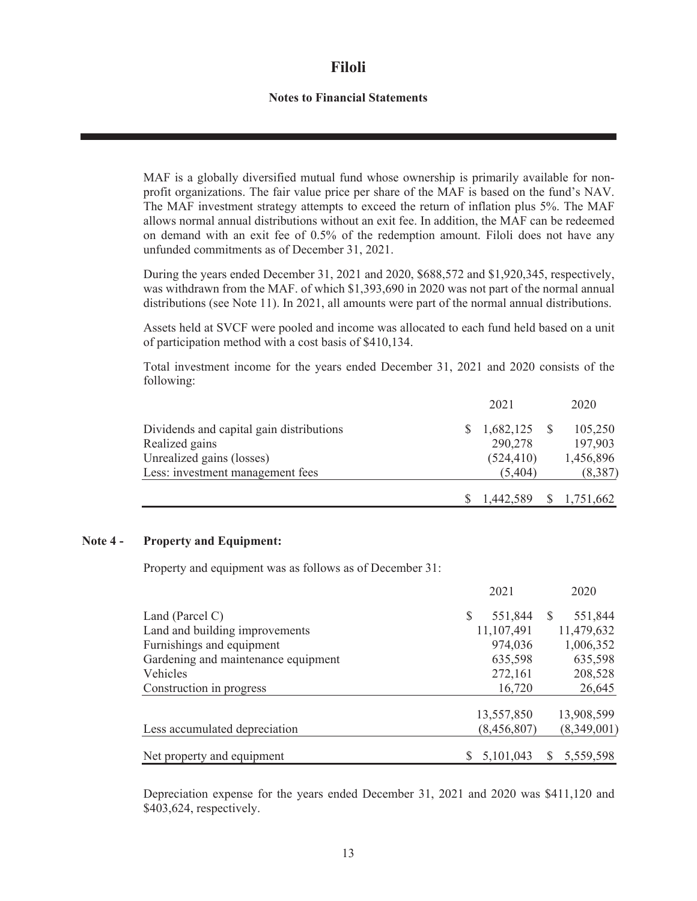#### **Notes to Financial Statements**

MAF is a globally diversified mutual fund whose ownership is primarily available for nonprofit organizations. The fair value price per share of the MAF is based on the fund's NAV. The MAF investment strategy attempts to exceed the return of inflation plus 5%. The MAF allows normal annual distributions without an exit fee. In addition, the MAF can be redeemed on demand with an exit fee of 0.5% of the redemption amount. Filoli does not have any unfunded commitments as of December 31, 2021.

During the years ended December 31, 2021 and 2020, \$688,572 and \$1,920,345, respectively, was withdrawn from the MAF. of which \$1,393,690 in 2020 was not part of the normal annual distributions (see Note 11). In 2021, all amounts were part of the normal annual distributions.

Assets held at SVCF were pooled and income was allocated to each fund held based on a unit of participation method with a cost basis of \$410,134.

Total investment income for the years ended December 31, 2021 and 2020 consists of the following:

|                                          | 2021                   | 2020      |
|------------------------------------------|------------------------|-----------|
| Dividends and capital gain distributions | $1,682,125$ \$         | 105,250   |
| Realized gains                           | 290,278                | 197,903   |
| Unrealized gains (losses)                | (524, 410)             | 1,456,896 |
| Less: investment management fees         | (5,404)                | (8,387)   |
|                                          | 1,442,589 \$ 1,751,662 |           |

#### **Note 4 - Property and Equipment:**

Property and equipment was as follows as of December 31:

|                                     | 2021           | 2020                |
|-------------------------------------|----------------|---------------------|
| Land (Parcel C)                     | \$.<br>551,844 | 551,844<br><b>S</b> |
| Land and building improvements      | 11,107,491     | 11,479,632          |
| Furnishings and equipment           | 974,036        | 1,006,352           |
| Gardening and maintenance equipment | 635,598        | 635,598             |
| Vehicles                            | 272,161        | 208,528             |
| Construction in progress            | 16,720         | 26,645              |
|                                     | 13,557,850     | 13,908,599          |
| Less accumulated depreciation       | (8,456,807)    | (8,349,001)         |
| Net property and equipment          | 5,101,043      | 5,559,598<br>S.     |

Depreciation expense for the years ended December 31, 2021 and 2020 was \$411,120 and \$403,624, respectively.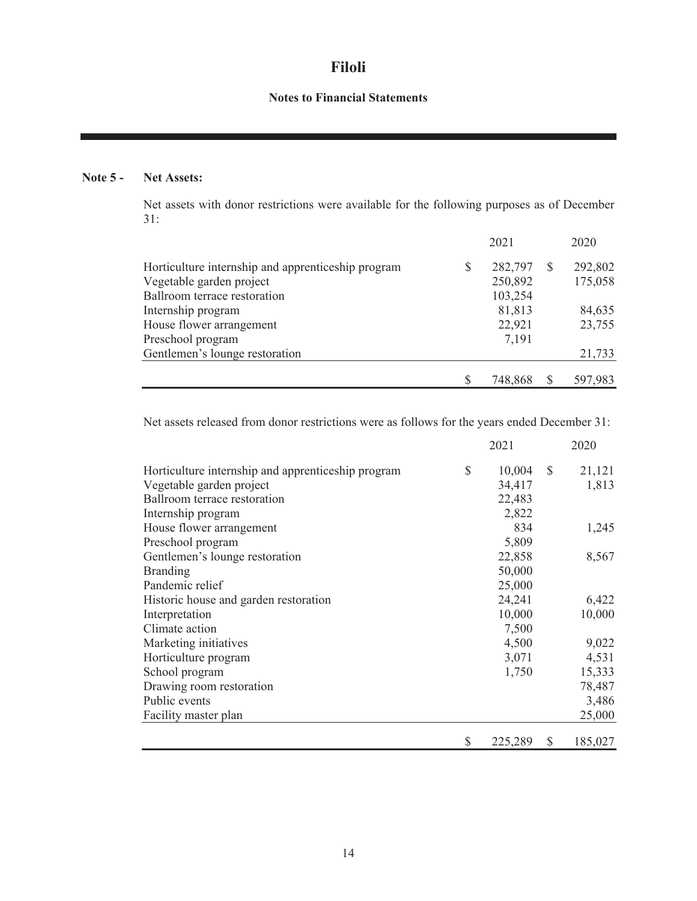# **Notes to Financial Statements**

# **Note 5 - Net Assets:**

Net assets with donor restrictions were available for the following purposes as of December 31:

|                                                    |   | 2021    |              | 2020    |
|----------------------------------------------------|---|---------|--------------|---------|
| Horticulture internship and apprenticeship program | S | 282,797 | <sup>S</sup> | 292,802 |
| Vegetable garden project                           |   | 250,892 |              | 175,058 |
| Ballroom terrace restoration                       |   | 103,254 |              |         |
| Internship program                                 |   | 81,813  |              | 84,635  |
| House flower arrangement                           |   | 22,921  |              | 23,755  |
| Preschool program                                  |   | 7,191   |              |         |
| Gentlemen's lounge restoration                     |   |         |              | 21,733  |
|                                                    |   | 748,868 |              | 597,983 |

Net assets released from donor restrictions were as follows for the years ended December 31:

|                                                    |               | 2021    |               | 2020    |
|----------------------------------------------------|---------------|---------|---------------|---------|
| Horticulture internship and apprenticeship program | $\mathcal{S}$ | 10,004  | <sup>\$</sup> | 21,121  |
| Vegetable garden project                           |               | 34,417  |               | 1,813   |
| Ballroom terrace restoration                       |               | 22,483  |               |         |
| Internship program                                 |               | 2,822   |               |         |
| House flower arrangement                           |               | 834     |               | 1,245   |
| Preschool program                                  |               | 5,809   |               |         |
| Gentlemen's lounge restoration                     |               | 22,858  |               | 8,567   |
| <b>Branding</b>                                    |               | 50,000  |               |         |
| Pandemic relief                                    |               | 25,000  |               |         |
| Historic house and garden restoration              |               | 24,241  |               | 6,422   |
| Interpretation                                     |               | 10,000  |               | 10,000  |
| Climate action                                     |               | 7,500   |               |         |
| Marketing initiatives                              |               | 4,500   |               | 9,022   |
| Horticulture program                               |               | 3,071   |               | 4,531   |
| School program                                     |               | 1,750   |               | 15,333  |
| Drawing room restoration                           |               |         |               | 78,487  |
| Public events                                      |               |         |               | 3,486   |
| Facility master plan                               |               |         |               | 25,000  |
|                                                    | \$            | 225,289 | <sup>\$</sup> | 185,027 |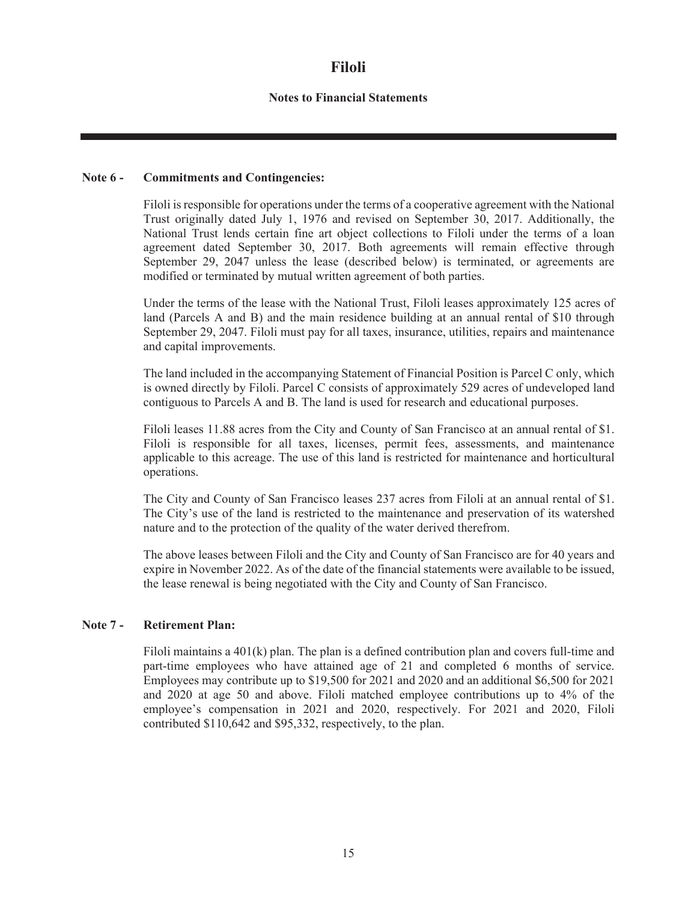#### **Notes to Financial Statements**

#### **Note 6 - Commitments and Contingencies:**

Filoli is responsible for operations under the terms of a cooperative agreement with the National Trust originally dated July 1, 1976 and revised on September 30, 2017. Additionally, the National Trust lends certain fine art object collections to Filoli under the terms of a loan agreement dated September 30, 2017. Both agreements will remain effective through September 29, 2047 unless the lease (described below) is terminated, or agreements are modified or terminated by mutual written agreement of both parties.

Under the terms of the lease with the National Trust, Filoli leases approximately 125 acres of land (Parcels A and B) and the main residence building at an annual rental of \$10 through September 29, 2047. Filoli must pay for all taxes, insurance, utilities, repairs and maintenance and capital improvements.

The land included in the accompanying Statement of Financial Position is Parcel C only, which is owned directly by Filoli. Parcel C consists of approximately 529 acres of undeveloped land contiguous to Parcels A and B. The land is used for research and educational purposes.

Filoli leases 11.88 acres from the City and County of San Francisco at an annual rental of \$1. Filoli is responsible for all taxes, licenses, permit fees, assessments, and maintenance applicable to this acreage. The use of this land is restricted for maintenance and horticultural operations.

The City and County of San Francisco leases 237 acres from Filoli at an annual rental of \$1. The City's use of the land is restricted to the maintenance and preservation of its watershed nature and to the protection of the quality of the water derived therefrom.

The above leases between Filoli and the City and County of San Francisco are for 40 years and expire in November 2022. As of the date of the financial statements were available to be issued, the lease renewal is being negotiated with the City and County of San Francisco.

#### **Note 7 - Retirement Plan:**

Filoli maintains a 401(k) plan. The plan is a defined contribution plan and covers full-time and part-time employees who have attained age of 21 and completed 6 months of service. Employees may contribute up to \$19,500 for 2021 and 2020 and an additional \$6,500 for 2021 and 2020 at age 50 and above. Filoli matched employee contributions up to 4% of the employee's compensation in 2021 and 2020, respectively. For 2021 and 2020, Filoli contributed \$110,642 and \$95,332, respectively, to the plan.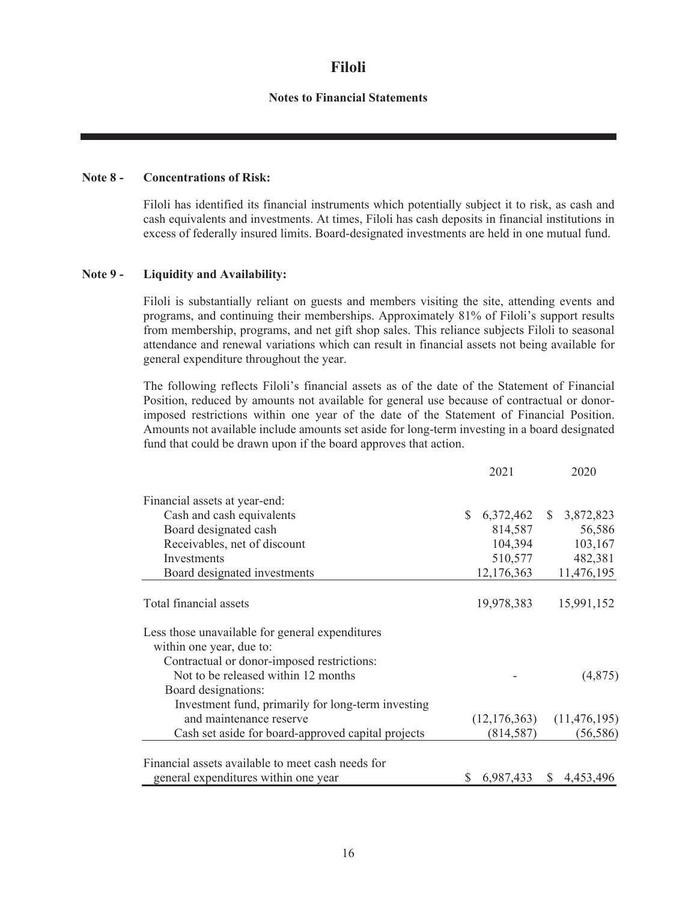#### **Notes to Financial Statements**

#### **Note 8 - Concentrations of Risk:**

Filoli has identified its financial instruments which potentially subject it to risk, as cash and cash equivalents and investments. At times, Filoli has cash deposits in financial institutions in excess of federally insured limits. Board-designated investments are held in one mutual fund.

#### **Note 9 - Liquidity and Availability:**

Filoli is substantially reliant on guests and members visiting the site, attending events and programs, and continuing their memberships. Approximately 81% of Filoli's support results from membership, programs, and net gift shop sales. This reliance subjects Filoli to seasonal attendance and renewal variations which can result in financial assets not being available for general expenditure throughout the year.

The following reflects Filoli's financial assets as of the date of the Statement of Financial Position, reduced by amounts not available for general use because of contractual or donorimposed restrictions within one year of the date of the Statement of Financial Position. Amounts not available include amounts set aside for long-term investing in a board designated fund that could be drawn upon if the board approves that action.

|                                                                                                          |    | 2021                       | 2020           |
|----------------------------------------------------------------------------------------------------------|----|----------------------------|----------------|
| Financial assets at year-end:                                                                            |    |                            |                |
| Cash and cash equivalents                                                                                | S. | 6,372,462 \$ 3,872,823     |                |
| Board designated cash                                                                                    |    | 814,587                    | 56,586         |
| Receivables, net of discount                                                                             |    | 104,394                    | 103,167        |
| Investments                                                                                              |    | 510,577                    | 482,381        |
| Board designated investments                                                                             |    | 12,176,363                 | 11,476,195     |
| Total financial assets                                                                                   |    | 19,978,383                 | 15,991,152     |
| Less those unavailable for general expenditures<br>within one year, due to:                              |    |                            |                |
| Contractual or donor-imposed restrictions:<br>Not to be released within 12 months<br>Board designations: |    |                            | (4,875)        |
| Investment fund, primarily for long-term investing                                                       |    |                            |                |
| and maintenance reserve                                                                                  |    | (12, 176, 363)             | (11, 476, 195) |
| Cash set aside for board-approved capital projects                                                       |    | (814, 587)                 | (56, 586)      |
| Financial assets available to meet cash needs for<br>general expenditures within one year                |    | $$6,987,433$$ $$4,453,496$ |                |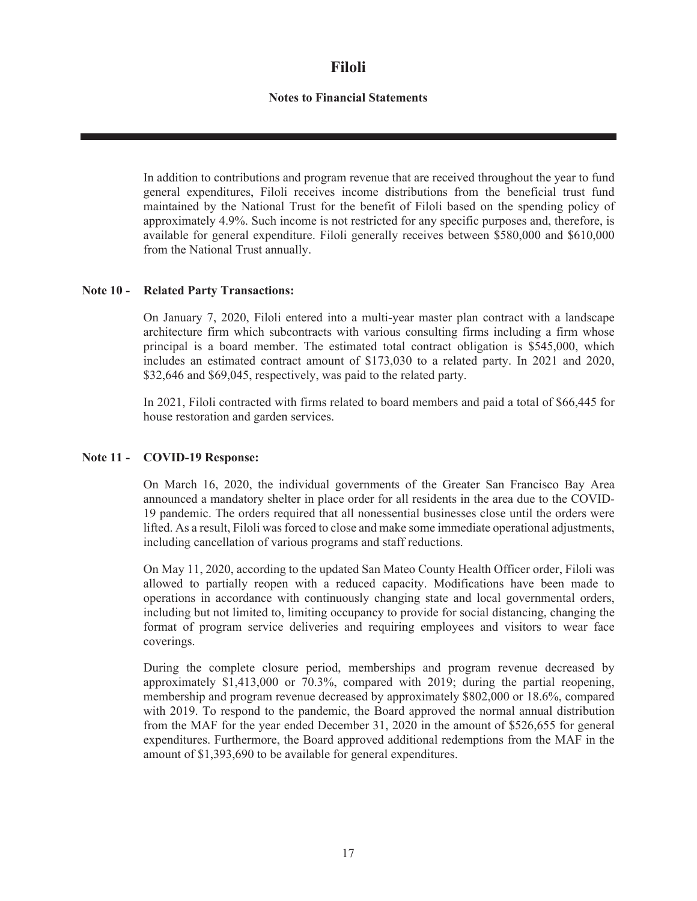### **Notes to Financial Statements**

In addition to contributions and program revenue that are received throughout the year to fund general expenditures, Filoli receives income distributions from the beneficial trust fund maintained by the National Trust for the benefit of Filoli based on the spending policy of approximately 4.9%. Such income is not restricted for any specific purposes and, therefore, is available for general expenditure. Filoli generally receives between \$580,000 and \$610,000 from the National Trust annually.

#### **Note 10 - Related Party Transactions:**

On January 7, 2020, Filoli entered into a multi-year master plan contract with a landscape architecture firm which subcontracts with various consulting firms including a firm whose principal is a board member. The estimated total contract obligation is \$545,000, which includes an estimated contract amount of \$173,030 to a related party. In 2021 and 2020, \$32,646 and \$69,045, respectively, was paid to the related party.

In 2021, Filoli contracted with firms related to board members and paid a total of \$66,445 for house restoration and garden services.

#### **Note 11 - COVID-19 Response:**

On March 16, 2020, the individual governments of the Greater San Francisco Bay Area announced a mandatory shelter in place order for all residents in the area due to the COVID-19 pandemic. The orders required that all nonessential businesses close until the orders were lifted. As a result, Filoli was forced to close and make some immediate operational adjustments, including cancellation of various programs and staff reductions.

On May 11, 2020, according to the updated San Mateo County Health Officer order, Filoli was allowed to partially reopen with a reduced capacity. Modifications have been made to operations in accordance with continuously changing state and local governmental orders, including but not limited to, limiting occupancy to provide for social distancing, changing the format of program service deliveries and requiring employees and visitors to wear face coverings.

During the complete closure period, memberships and program revenue decreased by approximately \$1,413,000 or 70.3%, compared with 2019; during the partial reopening, membership and program revenue decreased by approximately \$802,000 or 18.6%, compared with 2019. To respond to the pandemic, the Board approved the normal annual distribution from the MAF for the year ended December 31, 2020 in the amount of \$526,655 for general expenditures. Furthermore, the Board approved additional redemptions from the MAF in the amount of \$1,393,690 to be available for general expenditures.